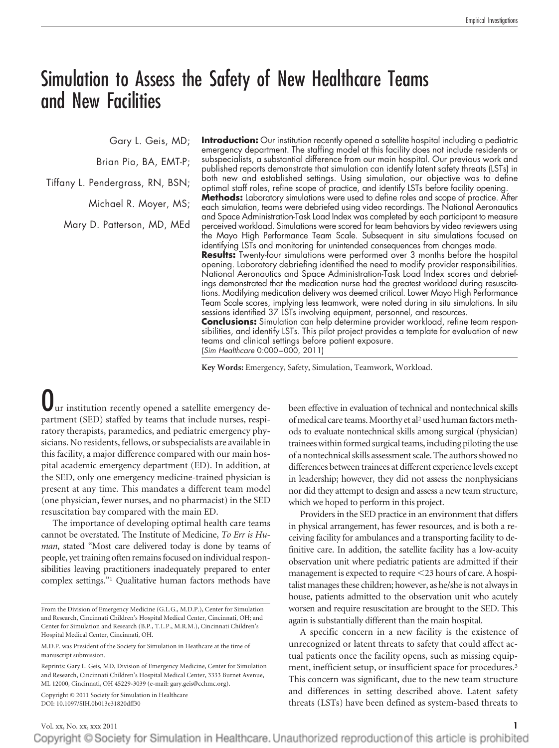# Simulation to Assess the Safety of New Healthcare Teams and New Facilities

Gary L. Geis, MD;

Brian Pio, BA, EMT-P;

Tiffany L. Pendergrass, RN, BSN;

Michael R. Moyer, MS;

Mary D. Patterson, MD, MEd

**Introduction:** Our institution recently opened a satellite hospital including a pediatric emergency department. The staffing model at this facility does not include residents or subspecialists, a substantial difference from our main hospital. Our previous work and published reports demonstrate that simulation can identify latent safety threats (LSTs) in both new and established settings. Using simulation, our objective was to define optimal staff roles, refine scope of practice, and identify LSTs before facility opening. **Methods:** Laboratory simulations were used to define roles and scope of practice. After

each simulation, teams were debriefed using video recordings. The National Aeronautics and Space Administration-Task Load Index was completed by each participant to measure perceived workload. Simulations were scored for team behaviors by video reviewers using the Mayo High Performance Team Scale. Subsequent in situ simulations focused on identifying LSTs and monitoring for unintended consequences from changes made.

**Results:** Twenty-four simulations were performed over 3 months before the hospital opening. Laboratory debriefing identified the need to modify provider responsibilities. National Aeronautics and Space Administration-Task Load Index scores and debriefings demonstrated that the medication nurse had the greatest workload during resuscitations. Modifying medication delivery was deemed critical. Lower Mayo High Performance Team Scale scores, implying less teamwork, were noted during in situ simulations. In situ sessions identified 37 LSTs involving equipment, personnel, and resources.

**Conclusions:** Simulation can help determine provider workload, refine team responsibilities, and identify LSTs. This pilot project provides a template for evaluation of new teams and clinical settings before patient exposure. (*Sim Healthcare* 0:000 –000, 2011)

**Key Words:** Emergency, Safety, Simulation, Teamwork, Workload.

ur institution recently opened a satellite emergency department (SED) staffed by teams that include nurses, respiratory therapists, paramedics, and pediatric emergency physicians. No residents, fellows, or subspecialists are available in this facility, a major difference compared with our main hospital academic emergency department (ED). In addition, at the SED, only one emergency medicine-trained physician is present at any time. This mandates a different team model (one physician, fewer nurses, and no pharmacist) in the SED resuscitation bay compared with the main ED.

The importance of developing optimal health care teams cannot be overstated. The Institute of Medicine, *To Err is Human*, stated "Most care delivered today is done by teams of people, yet training often remains focused on individual responsibilities leaving practitioners inadequately prepared to enter complex settings."1 Qualitative human factors methods have

Copyright © 2011 Society for Simulation in Healthcare DOI: 10.1097/SIH.0b013e31820dff30

been effective in evaluation of technical and nontechnical skills of medical care teams. Moorthy et al<sup>2</sup> used human factors methods to evaluate nontechnical skills among surgical (physician) trainees within formed surgical teams, including piloting the use of a nontechnical skills assessment scale. The authors showed no differences between trainees at different experience levels except in leadership; however, they did not assess the nonphysicians nor did they attempt to design and assess a new team structure, which we hoped to perform in this project.

Providers in the SED practice in an environment that differs in physical arrangement, has fewer resources, and is both a receiving facility for ambulances and a transporting facility to definitive care. In addition, the satellite facility has a low-acuity observation unit where pediatric patients are admitted if their management is expected to require <23 hours of care. A hospitalist manages these children; however, as he/she is not always in house, patients admitted to the observation unit who acutely worsen and require resuscitation are brought to the SED. This again is substantially different than the main hospital.

A specific concern in a new facility is the existence of unrecognized or latent threats to safety that could affect actual patients once the facility opens, such as missing equipment, inefficient setup, or insufficient space for procedures.<sup>3</sup> This concern was significant, due to the new team structure and differences in setting described above. Latent safety threats (LSTs) have been defined as system-based threats to

From the Division of Emergency Medicine (G.L.G., M.D.P.), Center for Simulation and Research, Cincinnati Children's Hospital Medical Center, Cincinnati, OH; and Center for Simulation and Research (B.P., T.L.P., M.R.M.), Cincinnati Children's Hospital Medical Center, Cincinnati, OH.

M.D.P. was President of the Society for Simulation in Heathcare at the time of manuscript submission.

Reprints: Gary L. Geis, MD, Division of Emergency Medicine, Center for Simulation and Research, Cincinnati Children's Hospital Medical Center, 3333 Burnet Avenue, ML 12000, Cincinnati, OH 45229-3039 (e-mail: gary.geis@cchmc.org).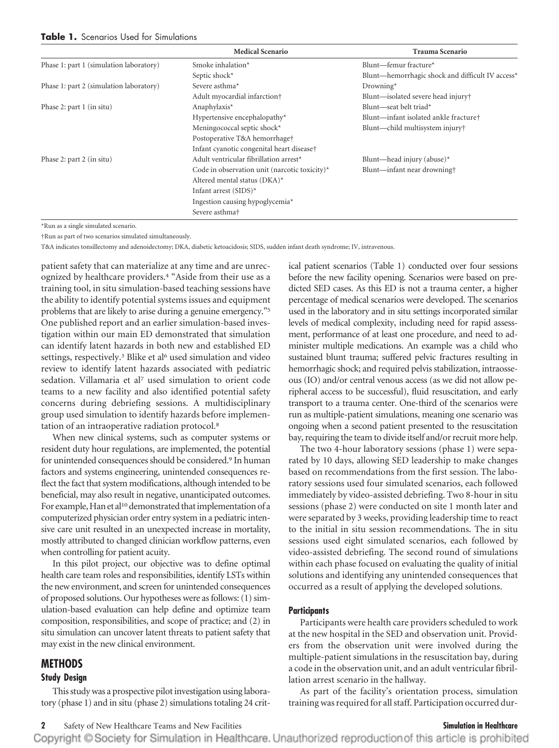|                                         | <b>Medical Scenario</b>                       | <b>Trauma Scenario</b>                           |
|-----------------------------------------|-----------------------------------------------|--------------------------------------------------|
| Phase 1: part 1 (simulation laboratory) | Smoke inhalation*                             | Blunt—femur fracture*                            |
|                                         | Septic shock*                                 | Blunt—hemorrhagic shock and difficult IV access* |
| Phase 1: part 2 (simulation laboratory) | Severe asthma*                                | Drowning*                                        |
|                                         | Adult myocardial infarction <sup>†</sup>      | Blunt—isolated severe head injury†               |
| Phase 2: part $1$ (in situ)             | Anaphylaxis*                                  | Blunt-seat belt triad*                           |
|                                         | Hypertensive encephalopathy*                  | Blunt—infant isolated ankle fracture†            |
|                                         | Meningococcal septic shock*                   | Blunt—child multisystem injury†                  |
|                                         | Postoperative T&A hemorrhage†                 |                                                  |
|                                         | Infant cyanotic congenital heart disease†     |                                                  |
| Phase 2: part 2 (in situ)               | Adult ventricular fibrillation arrest*        | Blunt—head injury (abuse) $*$                    |
|                                         | Code in observation unit (narcotic toxicity)* | Blunt—infant near drowning†                      |
|                                         | Altered mental status (DKA)*                  |                                                  |
|                                         | Infant arrest $(SIDS)^*$                      |                                                  |
|                                         | Ingestion causing hypoglycemia*               |                                                  |
|                                         | Severe asthma <sup>+</sup>                    |                                                  |

\*Run as a single simulated scenario.

†Run as part of two scenarios simulated simultaneously.

T&A indicates tonsillectomy and adenoidectomy; DKA, diabetic ketoacidosis; SIDS, sudden infant death syndrome; IV, intravenous.

patient safety that can materialize at any time and are unrecognized by healthcare providers.4 "Aside from their use as a training tool, in situ simulation-based teaching sessions have the ability to identify potential systems issues and equipment problems that are likely to arise during a genuine emergency."5 One published report and an earlier simulation-based investigation within our main ED demonstrated that simulation can identify latent hazards in both new and established ED settings, respectively.<sup>3</sup> Blike et al<sup>6</sup> used simulation and video review to identify latent hazards associated with pediatric sedation. Villamaria et al<sup>7</sup> used simulation to orient code teams to a new facility and also identified potential safety concerns during debriefing sessions. A multidisciplinary group used simulation to identify hazards before implementation of an intraoperative radiation protocol.8

When new clinical systems, such as computer systems or resident duty hour regulations, are implemented, the potential for unintended consequences should be considered.9 In human factors and systems engineering, unintended consequences reflect the fact that system modifications, although intended to be beneficial, may also result in negative, unanticipated outcomes. For example, Han et al<sup>10</sup> demonstrated that implementation of a computerized physician order entry system in a pediatric intensive care unit resulted in an unexpected increase in mortality, mostly attributed to changed clinician workflow patterns, even when controlling for patient acuity.

In this pilot project, our objective was to define optimal health care team roles and responsibilities, identify LSTs within the new environment, and screen for unintended consequences of proposed solutions. Our hypotheses were as follows: (1) simulation-based evaluation can help define and optimize team composition, responsibilities, and scope of practice; and (2) in situ simulation can uncover latent threats to patient safety that may exist in the new clinical environment.

## **METHODS**

### **Study Design**

This study was a prospective pilot investigation using laboratory (phase 1) and in situ (phase 2) simulations totaling 24 critical patient scenarios (Table 1) conducted over four sessions before the new facility opening. Scenarios were based on predicted SED cases. As this ED is not a trauma center, a higher percentage of medical scenarios were developed. The scenarios used in the laboratory and in situ settings incorporated similar levels of medical complexity, including need for rapid assessment, performance of at least one procedure, and need to administer multiple medications. An example was a child who sustained blunt trauma; suffered pelvic fractures resulting in hemorrhagic shock; and required pelvis stabilization, intraosseous (IO) and/or central venous access (as we did not allow peripheral access to be successful), fluid resuscitation, and early transport to a trauma center. One-third of the scenarios were run as multiple-patient simulations, meaning one scenario was ongoing when a second patient presented to the resuscitation bay, requiring the team to divide itself and/or recruit more help.

The two 4-hour laboratory sessions (phase 1) were separated by 10 days, allowing SED leadership to make changes based on recommendations from the first session. The laboratory sessions used four simulated scenarios, each followed immediately by video-assisted debriefing. Two 8-hour in situ sessions (phase 2) were conducted on site 1 month later and were separated by 3 weeks, providing leadership time to react to the initial in situ session recommendations. The in situ sessions used eight simulated scenarios, each followed by video-assisted debriefing. The second round of simulations within each phase focused on evaluating the quality of initial solutions and identifying any unintended consequences that occurred as a result of applying the developed solutions.

### **Participants**

Participants were health care providers scheduled to work at the new hospital in the SED and observation unit. Providers from the observation unit were involved during the multiple-patient simulations in the resuscitation bay, during a code in the observation unit, and an adult ventricular fibrillation arrest scenario in the hallway.

As part of the facility's orientation process, simulation training was required for all staff. Participation occurred dur-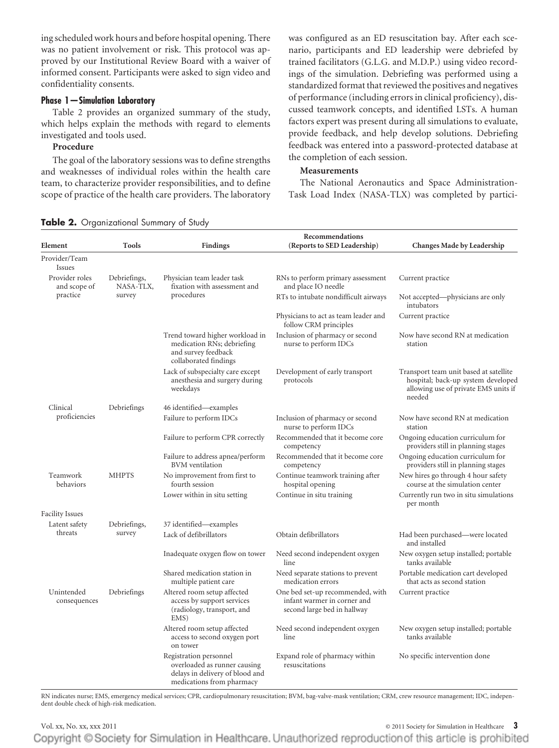ing scheduled work hours and before hospital opening. There was no patient involvement or risk. This protocol was approved by our Institutional Review Board with a waiver of informed consent. Participants were asked to sign video and confidentiality consents.

# **Phase 1—Simulation Laboratory**

Table 2 provides an organized summary of the study, which helps explain the methods with regard to elements investigated and tools used.

# **Procedure**

The goal of the laboratory sessions was to define strengths and weaknesses of individual roles within the health care team, to characterize provider responsibilities, and to define scope of practice of the health care providers. The laboratory was configured as an ED resuscitation bay. After each scenario, participants and ED leadership were debriefed by trained facilitators (G.L.G. and M.D.P.) using video recordings of the simulation. Debriefing was performed using a standardized format that reviewed the positives and negatives of performance (including errors in clinical proficiency), discussed teamwork concepts, and identified LSTs. A human factors expert was present during all simulations to evaluate, provide feedback, and help develop solutions. Debriefing feedback was entered into a password-protected database at the completion of each session.

# **Measurements**

The National Aeronautics and Space Administration-Task Load Index (NASA-TLX) was completed by partici-

**Table 2.** Organizational Summary of Study

| Element                        | Tools                     | <b>Findings</b>                                                                                                        | Recommendations<br>(Reports to SED Leadership)                                                 | Changes Made by Leadership                                                                                                     |
|--------------------------------|---------------------------|------------------------------------------------------------------------------------------------------------------------|------------------------------------------------------------------------------------------------|--------------------------------------------------------------------------------------------------------------------------------|
| Provider/Team<br>Issues        |                           |                                                                                                                        |                                                                                                |                                                                                                                                |
| Provider roles<br>and scope of | Debriefings,<br>NASA-TLX, | Physician team leader task<br>fixation with assessment and                                                             | RNs to perform primary assessment<br>and place IO needle                                       | Current practice                                                                                                               |
| practice<br>survey             |                           | procedures                                                                                                             | RTs to intubate nondifficult airways                                                           | Not accepted—physicians are only<br>intubators                                                                                 |
|                                |                           |                                                                                                                        | Physicians to act as team leader and<br>follow CRM principles                                  | Current practice                                                                                                               |
|                                |                           | Trend toward higher workload in<br>medication RNs; debriefing<br>and survey feedback<br>collaborated findings          | Inclusion of pharmacy or second<br>nurse to perform IDCs                                       | Now have second RN at medication<br>station                                                                                    |
|                                |                           | Lack of subspecialty care except<br>anesthesia and surgery during<br>weekdays                                          | Development of early transport<br>protocols                                                    | Transport team unit based at satellite<br>hospital; back-up system developed<br>allowing use of private EMS units if<br>needed |
| Clinical                       | Debriefings               | 46 identified—examples                                                                                                 |                                                                                                |                                                                                                                                |
| proficiencies                  |                           | Failure to perform IDCs                                                                                                | Inclusion of pharmacy or second<br>nurse to perform IDCs                                       | Now have second RN at medication<br>station                                                                                    |
|                                |                           | Failure to perform CPR correctly                                                                                       | Recommended that it become core<br>competency                                                  | Ongoing education curriculum for<br>providers still in planning stages                                                         |
|                                |                           | Failure to address apnea/perform<br><b>BVM</b> ventilation                                                             | Recommended that it become core<br>competency                                                  | Ongoing education curriculum for<br>providers still in planning stages                                                         |
| Teamwork<br>behaviors          | <b>MHPTS</b>              | No improvement from first to<br>fourth session                                                                         | Continue teamwork training after<br>hospital opening                                           | New hires go through 4 hour safety<br>course at the simulation center                                                          |
|                                |                           | Lower within in situ setting                                                                                           | Continue in situ training                                                                      | Currently run two in situ simulations<br>per month                                                                             |
| <b>Facility Issues</b>         |                           |                                                                                                                        |                                                                                                |                                                                                                                                |
| Latent safety                  | Debriefings,              | 37 identified-examples                                                                                                 |                                                                                                |                                                                                                                                |
| threats                        | survey                    | Lack of defibrillators                                                                                                 | Obtain defibrillators                                                                          | Had been purchased—were located<br>and installed                                                                               |
|                                |                           | Inadequate oxygen flow on tower                                                                                        | Need second independent oxygen<br>line                                                         | New oxygen setup installed; portable<br>tanks available                                                                        |
|                                |                           | Shared medication station in<br>multiple patient care                                                                  | Need separate stations to prevent<br>medication errors                                         | Portable medication cart developed<br>that acts as second station                                                              |
| Unintended<br>consequences     | Debriefings               | Altered room setup affected<br>access by support services<br>(radiology, transport, and<br>EMS)                        | One bed set-up recommended, with<br>infant warmer in corner and<br>second large bed in hallway | Current practice                                                                                                               |
|                                |                           | Altered room setup affected<br>access to second oxygen port<br>on tower                                                | Need second independent oxygen<br>line                                                         | New oxygen setup installed; portable<br>tanks available                                                                        |
|                                |                           | Registration personnel<br>overloaded as runner causing<br>delays in delivery of blood and<br>medications from pharmacy | Expand role of pharmacy within<br>resuscitations                                               | No specific intervention done                                                                                                  |

RN indicates nurse; EMS, emergency medical services; CPR, cardiopulmonary resuscitation; BVM, bag-valve-mask ventilation; CRM, crew resource management; IDC, independent double check of high-risk medication.

Vol. xx, No. xx, xxx 2011 © 2011 Society for Simulation in Healthcare **3** Copyright © Society for Simulation in Healthcare. Unauthorized reproduction of this article is prohibited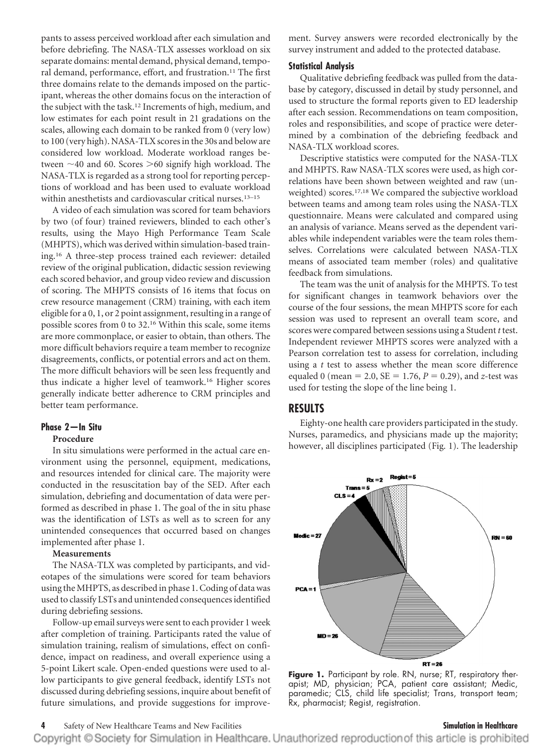pants to assess perceived workload after each simulation and before debriefing. The NASA-TLX assesses workload on six separate domains: mental demand, physical demand, temporal demand, performance, effort, and frustration.11 The first three domains relate to the demands imposed on the participant, whereas the other domains focus on the interaction of the subject with the task.12 Increments of high, medium, and low estimates for each point result in 21 gradations on the scales, allowing each domain to be ranked from 0 (very low) to 100 (very high). NASA-TLX scores in the 30s and below are considered low workload. Moderate workload ranges between  $\sim$ 40 and 60. Scores  $\geq$ 60 signify high workload. The NASA-TLX is regarded as a strong tool for reporting perceptions of workload and has been used to evaluate workload within anesthetists and cardiovascular critical nurses.13–15

A video of each simulation was scored for team behaviors by two (of four) trained reviewers, blinded to each other's results, using the Mayo High Performance Team Scale (MHPTS), which was derived within simulation-based training.16 A three-step process trained each reviewer: detailed review of the original publication, didactic session reviewing each scored behavior, and group video review and discussion of scoring. The MHPTS consists of 16 items that focus on crew resource management (CRM) training, with each item eligible for a 0, 1, or 2 point assignment, resulting in a range of possible scores from 0 to 32.16 Within this scale, some items are more commonplace, or easier to obtain, than others. The more difficult behaviors require a team member to recognize disagreements, conflicts, or potential errors and act on them. The more difficult behaviors will be seen less frequently and thus indicate a higher level of teamwork.16 Higher scores generally indicate better adherence to CRM principles and better team performance.

# **Phase 2—In Situ**

### **Procedure**

In situ simulations were performed in the actual care environment using the personnel, equipment, medications, and resources intended for clinical care. The majority were conducted in the resuscitation bay of the SED. After each simulation, debriefing and documentation of data were performed as described in phase 1. The goal of the in situ phase was the identification of LSTs as well as to screen for any unintended consequences that occurred based on changes implemented after phase 1.

### **Measurements**

The NASA-TLX was completed by participants, and videotapes of the simulations were scored for team behaviors using the MHPTS, as described in phase 1. Coding of data was used to classify LSTs and unintended consequences identified during debriefing sessions.

Follow-up email surveys were sent to each provider 1 week after completion of training. Participants rated the value of simulation training, realism of simulations, effect on confidence, impact on readiness, and overall experience using a 5-point Likert scale. Open-ended questions were used to allow participants to give general feedback, identify LSTs not discussed during debriefing sessions, inquire about benefit of future simulations, and provide suggestions for improvement. Survey answers were recorded electronically by the survey instrument and added to the protected database.

### **Statistical Analysis**

Qualitative debriefing feedback was pulled from the database by category, discussed in detail by study personnel, and used to structure the formal reports given to ED leadership after each session. Recommendations on team composition, roles and responsibilities, and scope of practice were determined by a combination of the debriefing feedback and NASA-TLX workload scores.

Descriptive statistics were computed for the NASA-TLX and MHPTS. Raw NASA-TLX scores were used, as high correlations have been shown between weighted and raw (unweighted) scores.17,18 We compared the subjective workload between teams and among team roles using the NASA-TLX questionnaire. Means were calculated and compared using an analysis of variance. Means served as the dependent variables while independent variables were the team roles themselves. Correlations were calculated between NASA-TLX means of associated team member (roles) and qualitative feedback from simulations.

The team was the unit of analysis for the MHPTS. To test for significant changes in teamwork behaviors over the course of the four sessions, the mean MHPTS score for each session was used to represent an overall team score, and scores were compared between sessions using a Student *t* test. Independent reviewer MHPTS scores were analyzed with a Pearson correlation test to assess for correlation, including using a *t* test to assess whether the mean score difference equaled 0 (mean = 2.0,  $SE = 1.76$ ,  $P = 0.29$ ), and *z*-test was used for testing the slope of the line being 1.

# **RESULTS**

Eighty-one health care providers participated in the study. Nurses, paramedics, and physicians made up the majority; however, all disciplines participated (Fig. 1). The leadership



**Figure 1.** Participant by role. RN, nurse; RT, respiratory therapist; MD, physician; PCA, patient care assistant; Medic, paramedic; CLS, child life specialist; Trans, transport team; Rx, pharmacist; Regist, registration.

### **4** Safety of New Healthcare Teams and New Facilities **Simulation in Healthcare**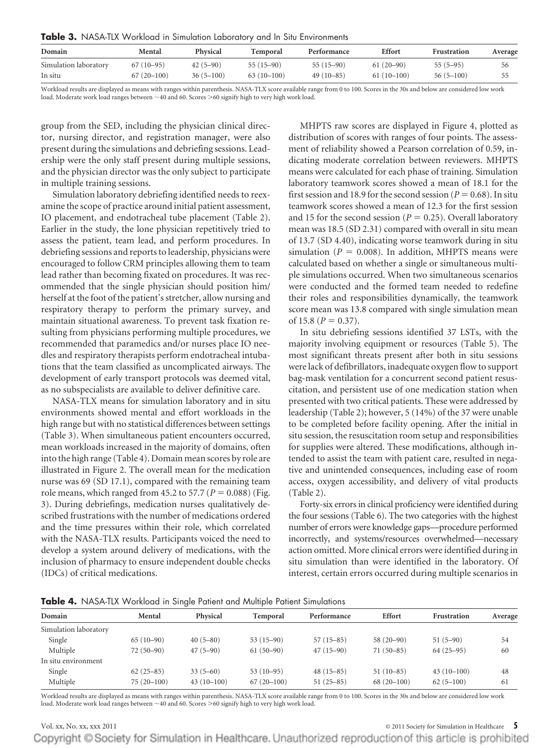**Table 3.** NASA-TLX Workload in Simulation Laboratory and In Situ Environments

| Domain                | Mental       | Physical    | <b>Temporal</b> | Performance | Effort       | Frustration | Average |
|-----------------------|--------------|-------------|-----------------|-------------|--------------|-------------|---------|
| Simulation laboratory | $67(10-95)$  | $42(5-90)$  | $55(15-90)$     | $55(15-90)$ | $61(20-90)$  | $55(5-95)$  | 56      |
| In situ               | $67(20-100)$ | $36(5-100)$ | $63(10-100)$    | $49(10-85)$ | $61(10-100)$ | $56(5-100)$ | 55      |

Workload results are displayed as means with ranges within parenthesis. NASA-TLX score available range from 0 to 100. Scores in the 30s and below are considered low work load. Moderate work load ranges between ~40 and 60. Scores >60 signify high to very high work load.

group from the SED, including the physician clinical director, nursing director, and registration manager, were also present during the simulations and debriefing sessions. Leadership were the only staff present during multiple sessions, and the physician director was the only subject to participate in multiple training sessions.

Simulation laboratory debriefing identified needs to reexamine the scope of practice around initial patient assessment, IO placement, and endotracheal tube placement (Table 2). Earlier in the study, the lone physician repetitively tried to assess the patient, team lead, and perform procedures. In debriefing sessions and reports to leadership, physicians were encouraged to follow CRM principles allowing them to team lead rather than becoming fixated on procedures. It was recommended that the single physician should position him/ herself at the foot of the patient's stretcher, allow nursing and respiratory therapy to perform the primary survey, and maintain situational awareness. To prevent task fixation resulting from physicians performing multiple procedures, we recommended that paramedics and/or nurses place IO needles and respiratory therapists perform endotracheal intubations that the team classified as uncomplicated airways. The development of early transport protocols was deemed vital, as no subspecialists are available to deliver definitive care.

NASA-TLX means for simulation laboratory and in situ environments showed mental and effort workloads in the high range but with no statistical differences between settings (Table 3). When simultaneous patient encounters occurred, mean workloads increased in the majority of domains, often into the high range (Table 4). Domain mean scores by role are illustrated in Figure 2. The overall mean for the medication nurse was 69 (SD 17.1), compared with the remaining team role means, which ranged from 45.2 to 57.7 ( $P = 0.088$ ) (Fig. 3). During debriefings, medication nurses qualitatively described frustrations with the number of medications ordered and the time pressures within their role, which correlated with the NASA-TLX results. Participants voiced the need to develop a system around delivery of medications, with the inclusion of pharmacy to ensure independent double checks (IDCs) of critical medications.

MHPTS raw scores are displayed in Figure 4, plotted as distribution of scores with ranges of four points. The assessment of reliability showed a Pearson correlation of 0.59, indicating moderate correlation between reviewers. MHPTS means were calculated for each phase of training. Simulation laboratory teamwork scores showed a mean of 18.1 for the first session and 18.9 for the second session ( $P = 0.68$ ). In situ teamwork scores showed a mean of 12.3 for the first session and 15 for the second session ( $P = 0.25$ ). Overall laboratory mean was 18.5 (SD 2.31) compared with overall in situ mean of 13.7 (SD 4.40), indicating worse teamwork during in situ simulation ( $P = 0.008$ ). In addition, MHPTS means were calculated based on whether a single or simultaneous multiple simulations occurred. When two simultaneous scenarios were conducted and the formed team needed to redefine their roles and responsibilities dynamically, the teamwork score mean was 13.8 compared with single simulation mean of 15.8 ( $P = 0.37$ ).

In situ debriefing sessions identified 37 LSTs, with the majority involving equipment or resources (Table 5). The most significant threats present after both in situ sessions were lack of defibrillators, inadequate oxygen flow to support bag-mask ventilation for a concurrent second patient resuscitation, and persistent use of one medication station when presented with two critical patients. These were addressed by leadership (Table 2); however, 5 (14%) of the 37 were unable to be completed before facility opening. After the initial in situ session, the resuscitation room setup and responsibilities for supplies were altered. These modifications, although intended to assist the team with patient care, resulted in negative and unintended consequences, including ease of room access, oxygen accessibility, and delivery of vital products (Table 2).

Forty-six errors in clinical proficiency were identified during the four sessions (Table 6). The two categories with the highest number of errors were knowledge gaps—procedure performed incorrectly, and systems/resources overwhelmed—necessary action omitted. More clinical errors were identified during in situ simulation than were identified in the laboratory. Of interest, certain errors occurred during multiple scenarios in

|  |  |  |  |  |  |  | Table 4. NASA-TLX Workload in Single Patient and Multiple Patient Simulations |
|--|--|--|--|--|--|--|-------------------------------------------------------------------------------|
|--|--|--|--|--|--|--|-------------------------------------------------------------------------------|

| Domain                | Mental       | Physical     | Temporal     | Performance | <b>Effort</b> | Frustration  | Average |
|-----------------------|--------------|--------------|--------------|-------------|---------------|--------------|---------|
| Simulation laboratory |              |              |              |             |               |              |         |
| Single                | $65(10-90)$  | $40(5-80)$   | $53(15-90)$  | $57(15-85)$ | $58(20-90)$   | $51(5-90)$   | 54      |
| Multiple              | $72(50-90)$  | $47(5-90)$   | $61(50-90)$  | $47(15-90)$ | $71(50-85)$   | $64(25-95)$  | 60      |
| In situ environment   |              |              |              |             |               |              |         |
| Single                | $62(25-85)$  | $33(5-60)$   | $53(10-95)$  | $48(15-85)$ | $51(10-85)$   | $43(10-100)$ | 48      |
| Multiple              | $75(20-100)$ | $43(10-100)$ | $67(20-100)$ | $51(25-85)$ | $68(20-100)$  | $62(5-100)$  | 61      |

Workload results are displayed as means with ranges within parenthesis. NASA-TLX score available range from 0 to 100. Scores in the 30s and below are considered low work load. Moderate work load ranges between ~40 and 60. Scores >60 signify high to very high work load.

### Vol. xx, No. xx, xxx 2011 © 2011 Society for Simulation in Healthcare **5**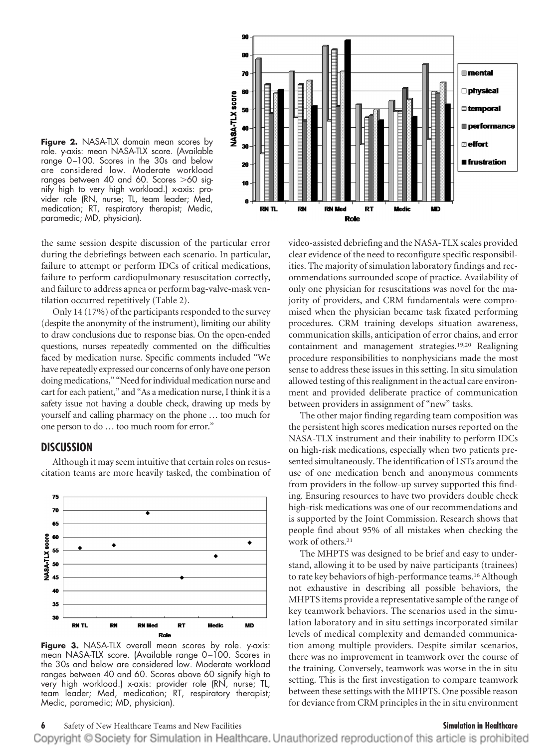

**Figure 2.** NASA-TLX domain mean scores by role. y-axis: mean NASA-TLX score. (Available range 0 –100. Scores in the 30s and below are considered low. Moderate workload ranges between 40 and 60. Scores  $>$ 60 signify high to very high workload.) x-axis: provider role (RN, nurse; TL, team leader; Med, medication; RT, respiratory therapist; Medic, paramedic; MD, physician).

the same session despite discussion of the particular error during the debriefings between each scenario. In particular, failure to attempt or perform IDCs of critical medications, failure to perform cardiopulmonary resuscitation correctly, and failure to address apnea or perform bag-valve-mask ventilation occurred repetitively (Table 2).

Only 14 (17%) of the participants responded to the survey (despite the anonymity of the instrument), limiting our ability to draw conclusions due to response bias. On the open-ended questions, nurses repeatedly commented on the difficulties faced by medication nurse. Specific comments included "We have repeatedly expressed our concerns of only have one person doing medications," "Need for individual medication nurse and cart for each patient," and "As a medication nurse, I think it is a safety issue not having a double check, drawing up meds by yourself and calling pharmacy on the phone … too much for one person to do … too much room for error."

# **DISCUSSION**



Although it may seem intuitive that certain roles on resuscitation teams are more heavily tasked, the combination of

**Figure 3.** NASA-TLX overall mean scores by role. y-axis: mean NASA-TLX score. (Available range 0 –100. Scores in the 30s and below are considered low. Moderate workload ranges between 40 and 60. Scores above 60 signify high to very high workload.) x-axis: provider role (RN, nurse; TL, team leader; Med, medication; RT, respiratory therapist; Medic, paramedic; MD, physician).

video-assisted debriefing and the NASA-TLX scales provided clear evidence of the need to reconfigure specific responsibilities. The majority of simulation laboratory findings and recommendations surrounded scope of practice. Availability of only one physician for resuscitations was novel for the majority of providers, and CRM fundamentals were compromised when the physician became task fixated performing procedures. CRM training develops situation awareness, communication skills, anticipation of error chains, and error containment and management strategies.19,20 Realigning procedure responsibilities to nonphysicians made the most sense to address these issues in this setting. In situ simulation allowed testing of this realignment in the actual care environment and provided deliberate practice of communication between providers in assignment of "new" tasks.

The other major finding regarding team composition was the persistent high scores medication nurses reported on the NASA-TLX instrument and their inability to perform IDCs on high-risk medications, especially when two patients presented simultaneously. The identification of LSTs around the use of one medication bench and anonymous comments from providers in the follow-up survey supported this finding. Ensuring resources to have two providers double check high-risk medications was one of our recommendations and is supported by the Joint Commission. Research shows that people find about 95% of all mistakes when checking the work of others.21

The MHPTS was designed to be brief and easy to understand, allowing it to be used by naive participants (trainees) to rate key behaviors of high-performance teams.16 Although not exhaustive in describing all possible behaviors, the MHPTS items provide a representative sample of the range of key teamwork behaviors. The scenarios used in the simulation laboratory and in situ settings incorporated similar levels of medical complexity and demanded communication among multiple providers. Despite similar scenarios, there was no improvement in teamwork over the course of the training. Conversely, teamwork was worse in the in situ setting. This is the first investigation to compare teamwork between these settings with the MHPTS. One possible reason for deviance from CRM principles in the in situ environment

# **6** Safety of New Healthcare Teams and New Facilities **Simulation in Healthcare**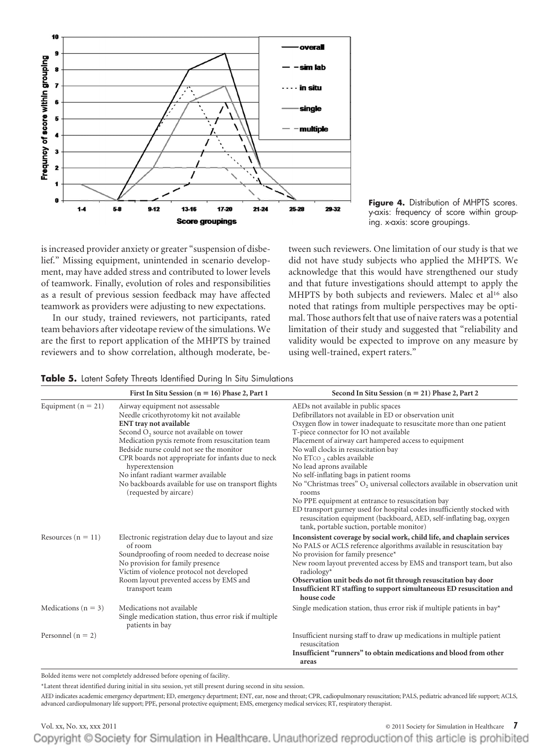

**Figure 4.** Distribution of MHPTS scores. y-axis: frequency of score within grouping. x-axis: score groupings.

is increased provider anxiety or greater "suspension of disbelief." Missing equipment, unintended in scenario development, may have added stress and contributed to lower levels of teamwork. Finally, evolution of roles and responsibilities as a result of previous session feedback may have affected teamwork as providers were adjusting to new expectations.

In our study, trained reviewers, not participants, rated team behaviors after videotape review of the simulations. We are the first to report application of the MHPTS by trained reviewers and to show correlation, although moderate, be-

tween such reviewers. One limitation of our study is that we did not have study subjects who applied the MHPTS. We acknowledge that this would have strengthened our study and that future investigations should attempt to apply the MHPTS by both subjects and reviewers. Malec et al<sup>16</sup> also noted that ratings from multiple perspectives may be optimal. Those authors felt that use of naive raters was a potential limitation of their study and suggested that "reliability and validity would be expected to improve on any measure by using well-trained, expert raters."

|  | <b>Table 5.</b> Latent Safety Threats Identified During In Situ Simulations |  |  |  |  |  |  |
|--|-----------------------------------------------------------------------------|--|--|--|--|--|--|
|--|-----------------------------------------------------------------------------|--|--|--|--|--|--|

|                         | First In Situ Session ( $n = 16$ ) Phase 2, Part 1                                                                                                                                                                                                                                                                                                                                                                                                               | Second In Situ Session ( $n = 21$ ) Phase 2, Part 2                                                                                                                                                                                                                                                                                                                                                                                                                                                                                                                                                                                                                                                                                                                        |
|-------------------------|------------------------------------------------------------------------------------------------------------------------------------------------------------------------------------------------------------------------------------------------------------------------------------------------------------------------------------------------------------------------------------------------------------------------------------------------------------------|----------------------------------------------------------------------------------------------------------------------------------------------------------------------------------------------------------------------------------------------------------------------------------------------------------------------------------------------------------------------------------------------------------------------------------------------------------------------------------------------------------------------------------------------------------------------------------------------------------------------------------------------------------------------------------------------------------------------------------------------------------------------------|
| Equipment $(n = 21)$    | Airway equipment not assessable<br>Needle cricothyrotomy kit not available<br><b>ENT</b> tray not available<br>Second O <sub>2</sub> source not available on tower<br>Medication pyxis remote from resuscitation team<br>Bedside nurse could not see the monitor<br>CPR boards not appropriate for infants due to neck<br>hyperextension<br>No infant radiant warmer available<br>No backboards available for use on transport flights<br>(requested by aircare) | AEDs not available in public spaces<br>Defibrillators not available in ED or observation unit<br>Oxygen flow in tower inadequate to resuscitate more than one patient<br>T-piece connector for IO not available<br>Placement of airway cart hampered access to equipment<br>No wall clocks in resuscitation bay<br>No ETco, cables available<br>No lead aprons available<br>No self-inflating bags in patient rooms<br>No "Christmas trees" O <sub>2</sub> universal collectors available in observation unit<br>rooms<br>No PPE equipment at entrance to resuscitation bay<br>ED transport gurney used for hospital codes insufficiently stocked with<br>resuscitation equipment (backboard, AED, self-inflating bag, oxygen<br>tank, portable suction, portable monitor) |
| Resources ( $n = 11$ )  | Electronic registration delay due to layout and size<br>of room<br>Soundproofing of room needed to decrease noise<br>No provision for family presence<br>Victim of violence protocol not developed<br>Room layout prevented access by EMS and<br>transport team                                                                                                                                                                                                  | Inconsistent coverage by social work, child life, and chaplain services<br>No PALS or ACLS reference algorithms available in resuscitation bay<br>No provision for family presence*<br>New room layout prevented access by EMS and transport team, but also<br>$radiology*$<br>Observation unit beds do not fit through resuscitation bay door<br>Insufficient RT staffing to support simultaneous ED resuscitation and<br>house code                                                                                                                                                                                                                                                                                                                                      |
| Medications ( $n = 3$ ) | Medications not available<br>Single medication station, thus error risk if multiple<br>patients in bay                                                                                                                                                                                                                                                                                                                                                           | Single medication station, thus error risk if multiple patients in bay*                                                                                                                                                                                                                                                                                                                                                                                                                                                                                                                                                                                                                                                                                                    |
| Personnel ( $n = 2$ )   |                                                                                                                                                                                                                                                                                                                                                                                                                                                                  | Insufficient nursing staff to draw up medications in multiple patient<br>resuscitation<br>Insufficient "runners" to obtain medications and blood from other<br>areas                                                                                                                                                                                                                                                                                                                                                                                                                                                                                                                                                                                                       |

Bolded items were not completely addressed before opening of facility.

\*Latent threat identified during initial in situ session, yet still present during second in situ session.

AED indicates academic emergency department; ED, emergency department; ENT, ear, nose and throat; CPR, cadiopulmonary resuscitation; PALS, pediatric advanced life support; ACLS, advanced cardiopulmonary life support; PPE, personal protective equipment; EMS, emergency medical services; RT, respiratory therapist.

# Vol. xx, No. xx, xxx 2011 © 2011 Society for Simulation in Healthcare **7** Copyright © Society for Simulation in Healthcare. Unauthorized reproduction of this article is prohibited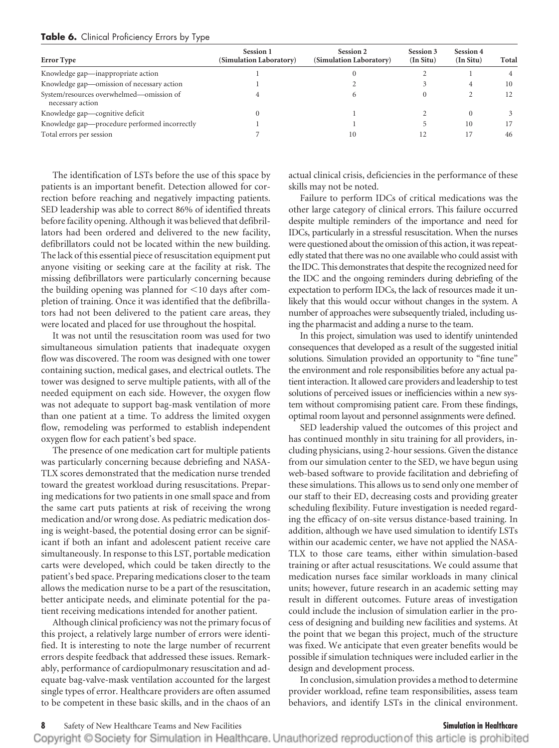| <b>Error</b> Type                                            | Session 1<br>(Simulation Laboratory) | Session 2<br>(Simulation Laboratory) | Session 3<br>$(In$ Situ) | Session 4<br>$(In$ Situ) | Total |
|--------------------------------------------------------------|--------------------------------------|--------------------------------------|--------------------------|--------------------------|-------|
| Knowledge gap—inappropriate action                           |                                      |                                      |                          |                          |       |
| Knowledge gap-omission of necessary action                   |                                      |                                      |                          |                          | 10    |
| System/resources overwhelmed-omission of<br>necessary action |                                      |                                      |                          |                          |       |
| Knowledge gap—cognitive deficit                              |                                      |                                      |                          |                          |       |
| Knowledge gap-procedure performed incorrectly                |                                      |                                      |                          | 10                       |       |
| Total errors per session                                     |                                      |                                      |                          |                          | 46    |

### **Table 6.** Clinical Proficiency Errors by Type

The identification of LSTs before the use of this space by patients is an important benefit. Detection allowed for correction before reaching and negatively impacting patients. SED leadership was able to correct 86% of identified threats before facility opening. Although it was believed that defibrillators had been ordered and delivered to the new facility, defibrillators could not be located within the new building. The lack of this essential piece of resuscitation equipment put anyone visiting or seeking care at the facility at risk. The missing defibrillators were particularly concerning because the building opening was planned for  $\leq$  10 days after completion of training. Once it was identified that the defibrillators had not been delivered to the patient care areas, they were located and placed for use throughout the hospital.

It was not until the resuscitation room was used for two simultaneous simulation patients that inadequate oxygen flow was discovered. The room was designed with one tower containing suction, medical gases, and electrical outlets. The tower was designed to serve multiple patients, with all of the needed equipment on each side. However, the oxygen flow was not adequate to support bag-mask ventilation of more than one patient at a time. To address the limited oxygen flow, remodeling was performed to establish independent oxygen flow for each patient's bed space.

The presence of one medication cart for multiple patients was particularly concerning because debriefing and NASA-TLX scores demonstrated that the medication nurse trended toward the greatest workload during resuscitations. Preparing medications for two patients in one small space and from the same cart puts patients at risk of receiving the wrong medication and/or wrong dose. As pediatric medication dosing is weight-based, the potential dosing error can be significant if both an infant and adolescent patient receive care simultaneously. In response to this LST, portable medication carts were developed, which could be taken directly to the patient's bed space. Preparing medications closer to the team allows the medication nurse to be a part of the resuscitation, better anticipate needs, and eliminate potential for the patient receiving medications intended for another patient.

Although clinical proficiency was not the primary focus of this project, a relatively large number of errors were identified. It is interesting to note the large number of recurrent errors despite feedback that addressed these issues. Remarkably, performance of cardiopulmonary resuscitation and adequate bag-valve-mask ventilation accounted for the largest single types of error. Healthcare providers are often assumed to be competent in these basic skills, and in the chaos of an

actual clinical crisis, deficiencies in the performance of these skills may not be noted.

Failure to perform IDCs of critical medications was the other large category of clinical errors. This failure occurred despite multiple reminders of the importance and need for IDCs, particularly in a stressful resuscitation. When the nurses were questioned about the omission of this action, it was repeatedly stated that there was no one available who could assist with the IDC. This demonstrates that despite the recognized need for the IDC and the ongoing reminders during debriefing of the expectation to perform IDCs, the lack of resources made it unlikely that this would occur without changes in the system. A number of approaches were subsequently trialed, including using the pharmacist and adding a nurse to the team.

In this project, simulation was used to identify unintended consequences that developed as a result of the suggested initial solutions. Simulation provided an opportunity to "fine tune" the environment and role responsibilities before any actual patient interaction. It allowed care providers and leadership to test solutions of perceived issues or inefficiencies within a new system without compromising patient care. From these findings, optimal room layout and personnel assignments were defined.

SED leadership valued the outcomes of this project and has continued monthly in situ training for all providers, including physicians, using 2-hour sessions. Given the distance from our simulation center to the SED, we have begun using web-based software to provide facilitation and debriefing of these simulations. This allows us to send only one member of our staff to their ED, decreasing costs and providing greater scheduling flexibility. Future investigation is needed regarding the efficacy of on-site versus distance-based training. In addition, although we have used simulation to identify LSTs within our academic center, we have not applied the NASA-TLX to those care teams, either within simulation-based training or after actual resuscitations. We could assume that medication nurses face similar workloads in many clinical units; however, future research in an academic setting may result in different outcomes. Future areas of investigation could include the inclusion of simulation earlier in the process of designing and building new facilities and systems. At the point that we began this project, much of the structure was fixed. We anticipate that even greater benefits would be possible if simulation techniques were included earlier in the design and development process.

In conclusion, simulation provides a method to determine provider workload, refine team responsibilities, assess team behaviors, and identify LSTs in the clinical environment.

**8** Safety of New Healthcare Teams and New Facilities **Simulation in Healthcare**